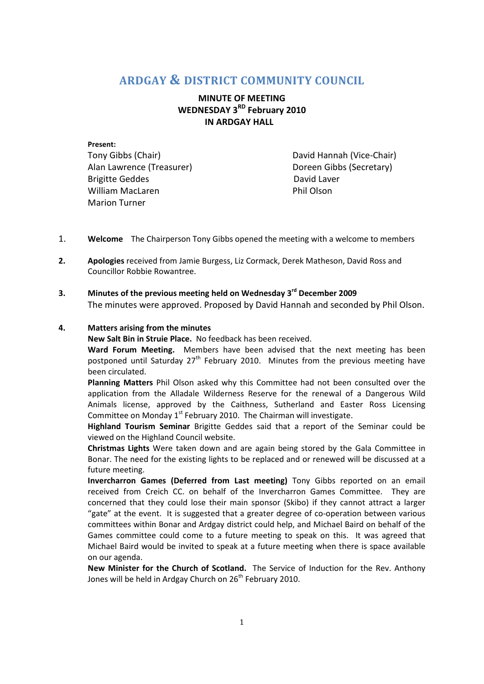# **ARDGAY & DISTRICT COMMUNITY COUNCIL**

## **MINUTE OF MEETING WEDNESDAY 3RD February 2010 IN ARDGAY HALL**

**Present:**  Tony Gibbs (Chair) David Hannah (Vice-Chair) Alan Lawrence (Treasurer) The Controller of Doreen Gibbs (Secretary) Brigitte Geddes **David Laver** William MacLaren **Phil Olson** Marion Turner

- 1. **Welcome** The Chairperson Tony Gibbs opened the meeting with a welcome to members
- **2. Apologies** received from Jamie Burgess, Liz Cormack, Derek Matheson, David Ross and Councillor Robbie Rowantree.
- **3. Minutes of the previous meeting held on Wednesday 3rd December 2009**  The minutes were approved. Proposed by David Hannah and seconded by Phil Olson.

## **4. Matters arising from the minutes**

**New Salt Bin in Struie Place.** No feedback has been received.

**Ward Forum Meeting.** Members have been advised that the next meeting has been postponed until Saturday  $27<sup>th</sup>$  February 2010. Minutes from the previous meeting have been circulated.

**Planning Matters** Phil Olson asked why this Committee had not been consulted over the application from the Alladale Wilderness Reserve for the renewal of a Dangerous Wild Animals license, approved by the Caithness, Sutherland and Easter Ross Licensing Committee on Monday  $1<sup>st</sup>$  February 2010. The Chairman will investigate.

**Highland Tourism Seminar** Brigitte Geddes said that a report of the Seminar could be viewed on the Highland Council website.

**Christmas Lights** Were taken down and are again being stored by the Gala Committee in Bonar. The need for the existing lights to be replaced and or renewed will be discussed at a future meeting.

**Invercharron Games (Deferred from Last meeting)** Tony Gibbs reported on an email received from Creich CC. on behalf of the Invercharron Games Committee. They are concerned that they could lose their main sponsor (Skibo) if they cannot attract a larger "gate" at the event. It is suggested that a greater degree of co-operation between various committees within Bonar and Ardgay district could help, and Michael Baird on behalf of the Games committee could come to a future meeting to speak on this. It was agreed that Michael Baird would be invited to speak at a future meeting when there is space available on our agenda.

**New Minister for the Church of Scotland.** The Service of Induction for the Rev. Anthony Jones will be held in Ardgay Church on  $26<sup>th</sup>$  February 2010.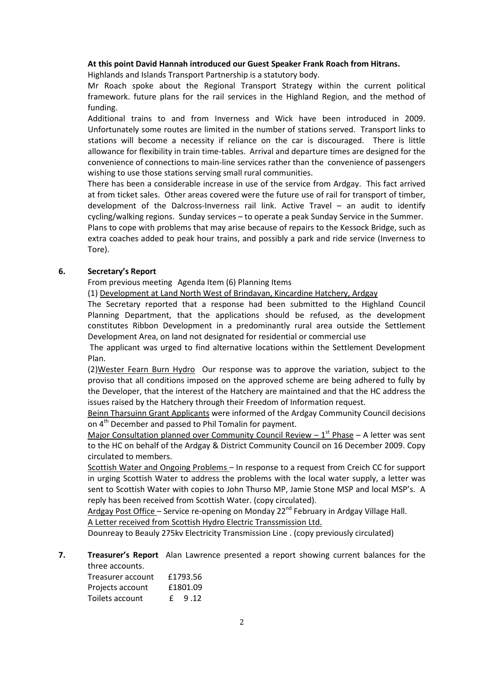#### **At this point David Hannah introduced our Guest Speaker Frank Roach from Hitrans.**

Highlands and Islands Transport Partnership is a statutory body.

Mr Roach spoke about the Regional Transport Strategy within the current political framework. future plans for the rail services in the Highland Region, and the method of funding.

Additional trains to and from Inverness and Wick have been introduced in 2009. Unfortunately some routes are limited in the number of stations served. Transport links to stations will become a necessity if reliance on the car is discouraged. There is little allowance for flexibility in train time-tables. Arrival and departure times are designed for the convenience of connections to main-line services rather than the convenience of passengers wishing to use those stations serving small rural communities.

There has been a considerable increase in use of the service from Ardgay. This fact arrived at from ticket sales. Other areas covered were the future use of rail for transport of timber, development of the Dalcross-Inverness rail link. Active Travel – an audit to identify cycling/walking regions. Sunday services – to operate a peak Sunday Service in the Summer. Plans to cope with problems that may arise because of repairs to the Kessock Bridge, such as

extra coaches added to peak hour trains, and possibly a park and ride service (Inverness to Tore).

## **6. Secretary's Report**

From previous meeting Agenda Item (6) Planning Items

(1) Development at Land North West of Brindavan, Kincardine Hatchery, Ardgay

The Secretary reported that a response had been submitted to the Highland Council Planning Department, that the applications should be refused, as the development constitutes Ribbon Development in a predominantly rural area outside the Settlement Development Area, on land not designated for residential or commercial use

 The applicant was urged to find alternative locations within the Settlement Development Plan.

(2)Wester Fearn Burn HydroOur response was to approve the variation, subject to the proviso that all conditions imposed on the approved scheme are being adhered to fully by the Developer, that the interest of the Hatchery are maintained and that the HC address the issues raised by the Hatchery through their Freedom of Information request.

Beinn Tharsuinn Grant Applicants were informed of the Ardgay Community Council decisions on 4<sup>th</sup> December and passed to Phil Tomalin for payment.

Major Consultation planned over Community Council Review –  $1<sup>st</sup>$  Phase – A letter was sent to the HC on behalf of the Ardgay & District Community Council on 16 December 2009. Copy circulated to members.

Scottish Water and Ongoing Problems – In response to a request from Creich CC for support in urging Scottish Water to address the problems with the local water supply, a letter was sent to Scottish Water with copies to John Thurso MP, Jamie Stone MSP and local MSP's. A reply has been received from Scottish Water. (copy circulated).

Ardgay Post Office – Service re-opening on Monday  $22^{nd}$  February in Ardgay Village Hall. A Letter received from Scottish Hydro Electric Transsmission Ltd.

Dounreay to Beauly 275kv Electricity Transmission Line . (copy previously circulated)

#### **7. Treasurer's Report** Alan Lawrence presented a report showing current balances for the three accounts.

| Treasurer account |          | £1793.56 |
|-------------------|----------|----------|
| Projects account  | £1801.09 |          |
| Toilets account   | f.       | 9.12     |